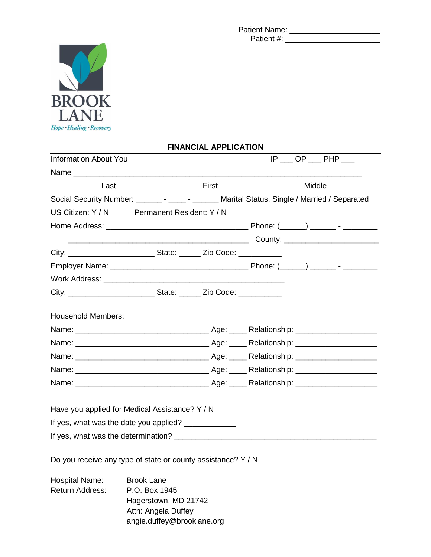Patient Name: \_\_\_\_\_\_\_\_\_\_\_\_\_\_\_\_\_\_\_\_\_ Patient #: \_\_\_\_\_\_\_\_\_\_\_\_\_\_\_\_\_\_\_\_\_\_



|                              |                                                              | <b>FINANGIAL AFFLIGATION</b> |                                                                                               |
|------------------------------|--------------------------------------------------------------|------------------------------|-----------------------------------------------------------------------------------------------|
| <b>Information About You</b> |                                                              |                              | $IP \_\$ OP $\_\$ PHP $\_\$                                                                   |
|                              |                                                              |                              |                                                                                               |
| Last                         |                                                              | First                        | Middle                                                                                        |
|                              |                                                              |                              | Social Security Number: _______ - _____ - ______ Marital Status: Single / Married / Separated |
|                              | US Citizen: Y / N Permanent Resident: Y / N                  |                              |                                                                                               |
|                              |                                                              |                              |                                                                                               |
|                              |                                                              |                              |                                                                                               |
|                              |                                                              |                              |                                                                                               |
|                              |                                                              |                              |                                                                                               |
|                              |                                                              |                              |                                                                                               |
|                              |                                                              |                              |                                                                                               |
|                              |                                                              |                              |                                                                                               |
| <b>Household Members:</b>    |                                                              |                              |                                                                                               |
|                              |                                                              |                              |                                                                                               |
|                              |                                                              |                              |                                                                                               |
|                              |                                                              |                              |                                                                                               |
|                              |                                                              |                              |                                                                                               |
|                              |                                                              |                              |                                                                                               |
|                              | Have you applied for Medical Assistance? Y / N               |                              |                                                                                               |
|                              | If yes, what was the date you applied? ______________        |                              |                                                                                               |
|                              |                                                              |                              |                                                                                               |
|                              | Do you receive any type of state or county assistance? Y / N |                              |                                                                                               |
| Hospital Name:               | <b>Brook Lane</b>                                            |                              |                                                                                               |
| Return Address:              | P.O. Box 1945                                                |                              |                                                                                               |
|                              | Hagerstown, MD 21742                                         |                              |                                                                                               |
|                              | Attn: Angela Duffey                                          |                              |                                                                                               |

angie.duffey@brooklane.org

## **FINANCIAL APPLICATION**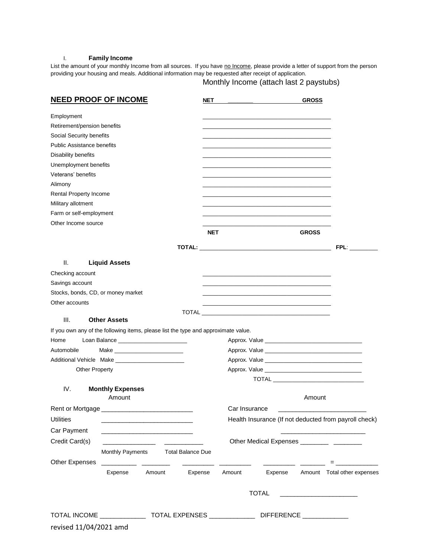## I. **Family Income**

List the amount of your monthly Income from all sources. If you have no Income, please provide a letter of support from the person providing your housing and meals. Additional information may be requested after receipt of application.

Monthly Income (attach last 2 paystubs)

| <b>NEED PROOF OF INCOME</b>                                                                    | NET                    |                                                                                           |              | <b>GROSS</b> |                               |  |
|------------------------------------------------------------------------------------------------|------------------------|-------------------------------------------------------------------------------------------|--------------|--------------|-------------------------------|--|
| Employment                                                                                     |                        |                                                                                           |              |              |                               |  |
| Retirement/pension benefits                                                                    |                        |                                                                                           |              |              |                               |  |
| Social Security benefits                                                                       |                        |                                                                                           |              |              |                               |  |
| Public Assistance benefits                                                                     |                        |                                                                                           |              |              |                               |  |
| Disability benefits                                                                            |                        |                                                                                           |              |              |                               |  |
| Unemployment benefits                                                                          |                        |                                                                                           |              |              |                               |  |
| Veterans' benefits                                                                             |                        |                                                                                           |              |              |                               |  |
| Alimony                                                                                        |                        |                                                                                           |              |              |                               |  |
| Rental Property Income                                                                         |                        |                                                                                           |              |              |                               |  |
| Military allotment                                                                             |                        |                                                                                           |              |              |                               |  |
| Farm or self-employment                                                                        |                        |                                                                                           |              |              |                               |  |
| Other Income source                                                                            |                        |                                                                                           |              |              |                               |  |
|                                                                                                | <b>NET</b>             |                                                                                           |              | <b>GROSS</b> |                               |  |
|                                                                                                |                        |                                                                                           |              |              | FPL:                          |  |
| Ш.<br><b>Liquid Assets</b>                                                                     |                        |                                                                                           |              |              |                               |  |
| Checking account                                                                               |                        |                                                                                           |              |              |                               |  |
| Savings account                                                                                |                        |                                                                                           |              |              |                               |  |
| Stocks, bonds, CD, or money market                                                             |                        |                                                                                           |              |              |                               |  |
| Other accounts                                                                                 |                        | the control of the control of the control of the control of the control of the control of |              |              |                               |  |
|                                                                                                |                        |                                                                                           |              |              |                               |  |
| III.<br><b>Other Assets</b>                                                                    |                        |                                                                                           |              |              |                               |  |
| If you own any of the following items, please list the type and approximate value.             |                        |                                                                                           |              |              |                               |  |
| Loan Balance ___________________________<br>Home                                               |                        |                                                                                           |              |              |                               |  |
| Automobile<br>$\mathsf{Make} \qquad \qquad \blacksquare$                                       |                        |                                                                                           |              |              |                               |  |
| Additional Vehicle Make ___________________________                                            |                        |                                                                                           |              |              |                               |  |
| <b>Other Property</b>                                                                          |                        |                                                                                           |              |              |                               |  |
|                                                                                                |                        |                                                                                           |              |              |                               |  |
| IV.<br><b>Monthly Expenses</b>                                                                 |                        |                                                                                           |              |              |                               |  |
| Amount                                                                                         |                        |                                                                                           |              | Amount       |                               |  |
| Rent or Mortgage                                                                               |                        | Car Insurance                                                                             |              |              |                               |  |
| <b>Utilities</b>                                                                               |                        | Health Insurance (If not deducted from payroll check)                                     |              |              |                               |  |
| Car Payment                                                                                    |                        |                                                                                           |              |              |                               |  |
| Credit Card(s)<br><u> 1989 - Johann Barbara, martin a</u><br><u> De Carlos de Carlos de Ca</u> |                        |                                                                                           |              |              |                               |  |
| Monthly Payments Total Balance Due                                                             |                        |                                                                                           |              |              |                               |  |
| <b>Other Expenses</b>                                                                          | <u> Linda and Carl</u> |                                                                                           |              |              | <b>Experience and Service</b> |  |
| Expense Amount                                                                                 | Expense                | Amount                                                                                    | Expense      |              | Amount Total other expenses   |  |
|                                                                                                |                        |                                                                                           | <b>TOTAL</b> |              |                               |  |
|                                                                                                |                        |                                                                                           |              |              |                               |  |
| TOTAL INCOME ___________________TOTAL EXPENSES __________________DIFFERENCE _______________    |                        |                                                                                           |              |              |                               |  |
| revised 11/04/2021 amd                                                                         |                        |                                                                                           |              |              |                               |  |